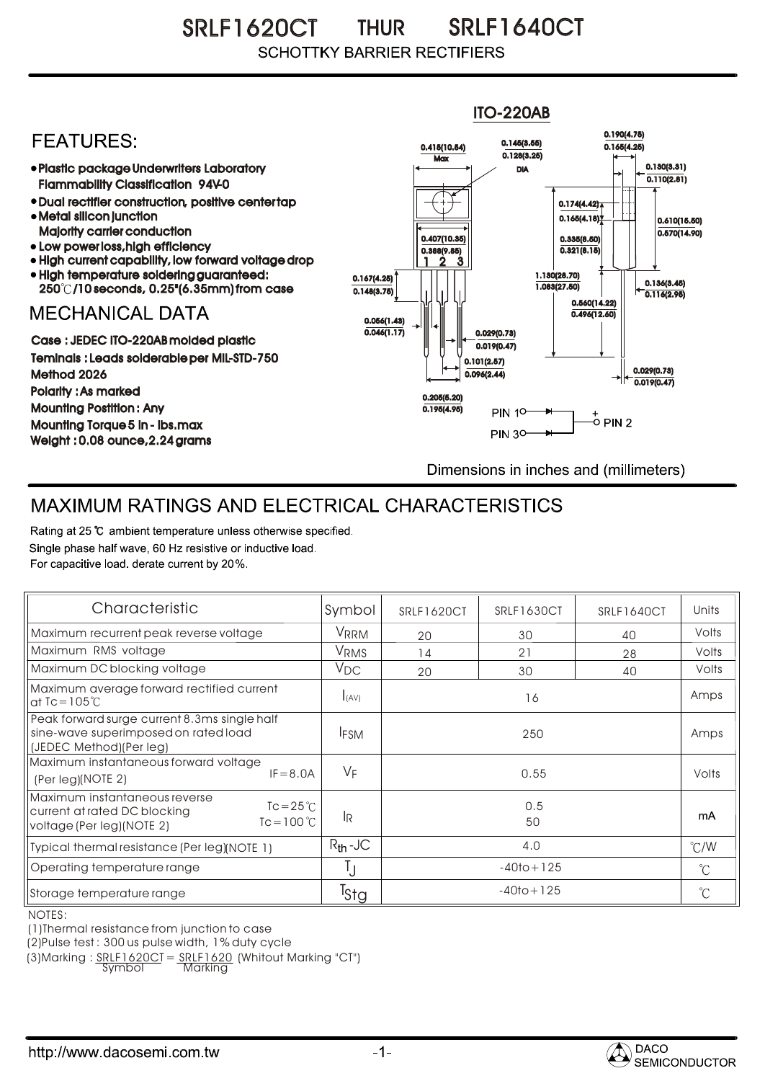SRLF1620CT THUR SRLF1640CT THUR **SCHOTTKY BARRIER RECTIFIERS** 



## MAXIMUM RATINGS AND ELECTRICAL CHARACTERISTICS

Rating at 25 °C ambient temperature unless otherwise specified. Single phase half wave, 60 Hz resistive or inductive load. For capacitive load, derate current by 20%.

| Characteristic                                                                                                                           | Symbol           | SRLF1620CT     | SRLF1630CT | SRLF1640CT | Units         |
|------------------------------------------------------------------------------------------------------------------------------------------|------------------|----------------|------------|------------|---------------|
| Maximum recurrent peak reverse voltage                                                                                                   | VRRM             | 20             | 30         | 40         | Volts         |
| Maximum RMS voltage                                                                                                                      | V <sub>RMS</sub> | 14             | 21         | 28         | Volts         |
| Maximum DC blocking voltage                                                                                                              | $V_{DC}$         | 20             | 30         | 40         | Volts         |
| Maximum average forward rectified current<br>at $\text{IC} = 105^{\circ}$ C                                                              | I(AV)            | 16             |            |            | Amps          |
| Peak forward surge current 8.3ms single half<br>sine-wave superimposed on rated load<br>(JEDEC Method)(Per leg)                          | <b>IFSM</b>      | 250            |            |            | Amps          |
| Maximum instantaneous forward voltage<br>$IF = 8.0A$<br>(Per leg)(NOTE 2)                                                                | VF               | 0.55           |            |            | Volts         |
| Maximum instantaneous reverse<br>$Tc = 25^{\circ}C$<br>current at rated DC blocking<br>$Tc = 100^{\circ}C$<br>voltage (Per leg) (NOTE 2) | 1R               | 0.5<br>50      |            |            | mA            |
| Typical thermal resistance (Per leg)(NOTE 1)                                                                                             | $R_{th}$ -JC     | 4.0            |            |            | $\degree$ C/W |
| Operating temperature range                                                                                                              |                  | $-40$ to + 125 |            |            | $^{\circ}$ C  |
| Storage temperature range                                                                                                                | <sup>T</sup> Stg | $-40$ to + 125 |            |            | $^{\circ}$ C  |

NOTES:

(1)Thermal resistance from junction to case

(2)Pulse test : 300 us pulse width, 1% duty cycle

(3)Marking :  $SRIF1620CI = SRIF1620$  (Whitout Marking "CT")<br>Symbol Marking

**Marking**